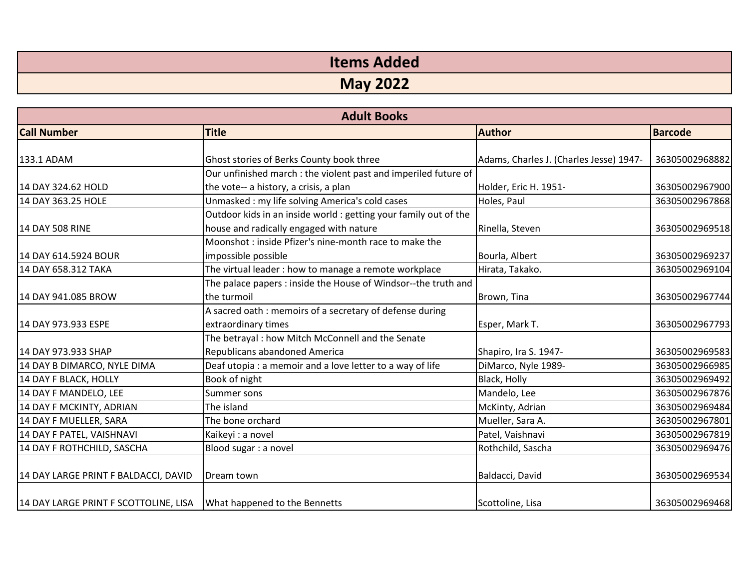| <b>Items Added</b> |
|--------------------|
| <b>May 2022</b>    |

| <b>Adult Books</b>                    |                                                                  |                                         |                |
|---------------------------------------|------------------------------------------------------------------|-----------------------------------------|----------------|
| <b>Call Number</b>                    | <b>Title</b>                                                     | <b>Author</b>                           | <b>Barcode</b> |
| 133.1 ADAM                            | Ghost stories of Berks County book three                         | Adams, Charles J. (Charles Jesse) 1947- | 36305002968882 |
|                                       | Our unfinished march : the violent past and imperiled future of  |                                         |                |
| 14 DAY 324.62 HOLD                    | the vote-- a history, a crisis, a plan                           | Holder, Eric H. 1951-                   | 36305002967900 |
| 14 DAY 363.25 HOLE                    | Unmasked: my life solving America's cold cases                   | Holes, Paul                             | 36305002967868 |
|                                       | Outdoor kids in an inside world : getting your family out of the |                                         |                |
| 14 DAY 508 RINE                       | house and radically engaged with nature                          | Rinella, Steven                         | 36305002969518 |
|                                       | Moonshot : inside Pfizer's nine-month race to make the           |                                         |                |
| 14 DAY 614.5924 BOUR                  | impossible possible                                              | Bourla, Albert                          | 36305002969237 |
| 14 DAY 658.312 TAKA                   | The virtual leader : how to manage a remote workplace            | Hirata, Takako.                         | 36305002969104 |
|                                       | The palace papers : inside the House of Windsor--the truth and   |                                         |                |
| 14 DAY 941.085 BROW                   | the turmoil                                                      | Brown, Tina                             | 36305002967744 |
|                                       | A sacred oath : memoirs of a secretary of defense during         |                                         |                |
| 14 DAY 973.933 ESPE                   | extraordinary times                                              | Esper, Mark T.                          | 36305002967793 |
|                                       | The betrayal : how Mitch McConnell and the Senate                |                                         |                |
| 14 DAY 973.933 SHAP                   | Republicans abandoned America                                    | Shapiro, Ira S. 1947-                   | 36305002969583 |
| 14 DAY B DIMARCO, NYLE DIMA           | Deaf utopia : a memoir and a love letter to a way of life        | DiMarco, Nyle 1989-                     | 36305002966985 |
| 14 DAY F BLACK, HOLLY                 | Book of night                                                    | Black, Holly                            | 36305002969492 |
| 14 DAY F MANDELO, LEE                 | Summer sons                                                      | Mandelo, Lee                            | 36305002967876 |
| 14 DAY F MCKINTY, ADRIAN              | The island                                                       | McKinty, Adrian                         | 36305002969484 |
| 14 DAY F MUELLER, SARA                | The bone orchard                                                 | Mueller, Sara A.                        | 36305002967801 |
| 14 DAY F PATEL, VAISHNAVI             | Kaikeyi: a novel                                                 | Patel, Vaishnavi                        | 36305002967819 |
| 14 DAY F ROTHCHILD, SASCHA            | Blood sugar : a novel                                            | Rothchild, Sascha                       | 36305002969476 |
| 14 DAY LARGE PRINT F BALDACCI, DAVID  | Dream town                                                       | Baldacci, David                         | 36305002969534 |
| 14 DAY LARGE PRINT F SCOTTOLINE, LISA | What happened to the Bennetts                                    | Scottoline, Lisa                        | 36305002969468 |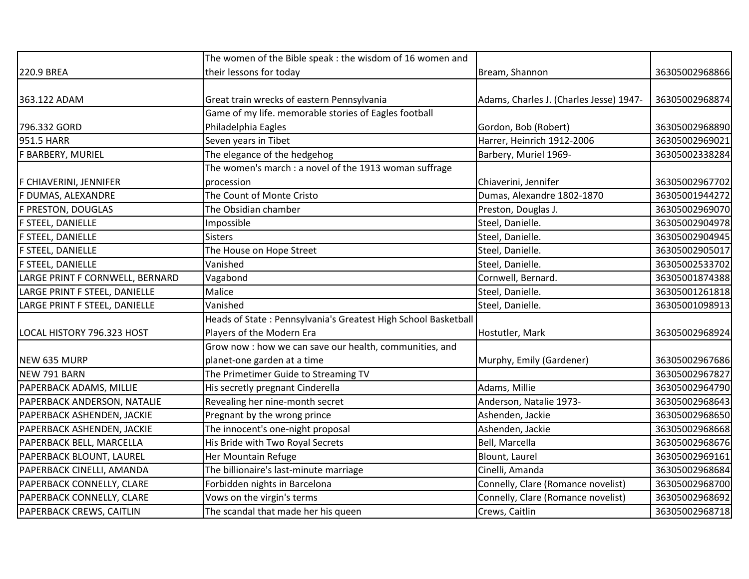|                                 | The women of the Bible speak : the wisdom of 16 women and      |                                         |                |
|---------------------------------|----------------------------------------------------------------|-----------------------------------------|----------------|
| 220.9 BREA                      | their lessons for today                                        | Bream, Shannon                          | 36305002968866 |
|                                 |                                                                |                                         |                |
| 363.122 ADAM                    | Great train wrecks of eastern Pennsylvania                     | Adams, Charles J. (Charles Jesse) 1947- | 36305002968874 |
|                                 | Game of my life. memorable stories of Eagles football          |                                         |                |
| 796.332 GORD                    | Philadelphia Eagles                                            | Gordon, Bob (Robert)                    | 36305002968890 |
| 951.5 HARR                      | Seven years in Tibet                                           | Harrer, Heinrich 1912-2006              | 36305002969021 |
| F BARBERY, MURIEL               | The elegance of the hedgehog                                   | Barbery, Muriel 1969-                   | 36305002338284 |
|                                 | The women's march : a novel of the 1913 woman suffrage         |                                         |                |
| F CHIAVERINI, JENNIFER          | procession                                                     | Chiaverini, Jennifer                    | 36305002967702 |
| F DUMAS, ALEXANDRE              | The Count of Monte Cristo                                      | Dumas, Alexandre 1802-1870              | 36305001944272 |
| F PRESTON, DOUGLAS              | The Obsidian chamber                                           | Preston, Douglas J.                     | 36305002969070 |
| F STEEL, DANIELLE               | Impossible                                                     | Steel, Danielle.                        | 36305002904978 |
| F STEEL, DANIELLE               | <b>Sisters</b>                                                 | Steel, Danielle.                        | 36305002904945 |
| F STEEL, DANIELLE               | The House on Hope Street                                       | Steel, Danielle.                        | 36305002905017 |
| F STEEL, DANIELLE               | Vanished                                                       | Steel, Danielle.                        | 36305002533702 |
| LARGE PRINT F CORNWELL, BERNARD | Vagabond                                                       | Cornwell, Bernard.                      | 36305001874388 |
| LARGE PRINT F STEEL, DANIELLE   | Malice                                                         | Steel, Danielle.                        | 36305001261818 |
| LARGE PRINT F STEEL, DANIELLE   | Vanished                                                       | Steel, Danielle.                        | 36305001098913 |
|                                 | Heads of State: Pennsylvania's Greatest High School Basketball |                                         |                |
| LOCAL HISTORY 796.323 HOST      | Players of the Modern Era                                      | Hostutler, Mark                         | 36305002968924 |
|                                 | Grow now : how we can save our health, communities, and        |                                         |                |
| NEW 635 MURP                    | planet-one garden at a time                                    | Murphy, Emily (Gardener)                | 36305002967686 |
| NEW 791 BARN                    | The Primetimer Guide to Streaming TV                           |                                         | 36305002967827 |
| PAPERBACK ADAMS, MILLIE         | His secretly pregnant Cinderella                               | Adams, Millie                           | 36305002964790 |
| PAPERBACK ANDERSON, NATALIE     | Revealing her nine-month secret                                | Anderson, Natalie 1973-                 | 36305002968643 |
| PAPERBACK ASHENDEN, JACKIE      | Pregnant by the wrong prince                                   | Ashenden, Jackie                        | 36305002968650 |
| PAPERBACK ASHENDEN, JACKIE      | The innocent's one-night proposal                              | Ashenden, Jackie                        | 36305002968668 |
| PAPERBACK BELL, MARCELLA        | His Bride with Two Royal Secrets                               | Bell, Marcella                          | 36305002968676 |
| PAPERBACK BLOUNT, LAUREL        | Her Mountain Refuge                                            | Blount, Laurel                          | 36305002969161 |
| PAPERBACK CINELLI, AMANDA       | The billionaire's last-minute marriage                         | Cinelli, Amanda                         | 36305002968684 |
| PAPERBACK CONNELLY, CLARE       | Forbidden nights in Barcelona                                  | Connelly, Clare (Romance novelist)      | 36305002968700 |
| PAPERBACK CONNELLY, CLARE       | Vows on the virgin's terms                                     | Connelly, Clare (Romance novelist)      | 36305002968692 |
| PAPERBACK CREWS, CAITLIN        | The scandal that made her his queen                            | Crews, Caitlin                          | 36305002968718 |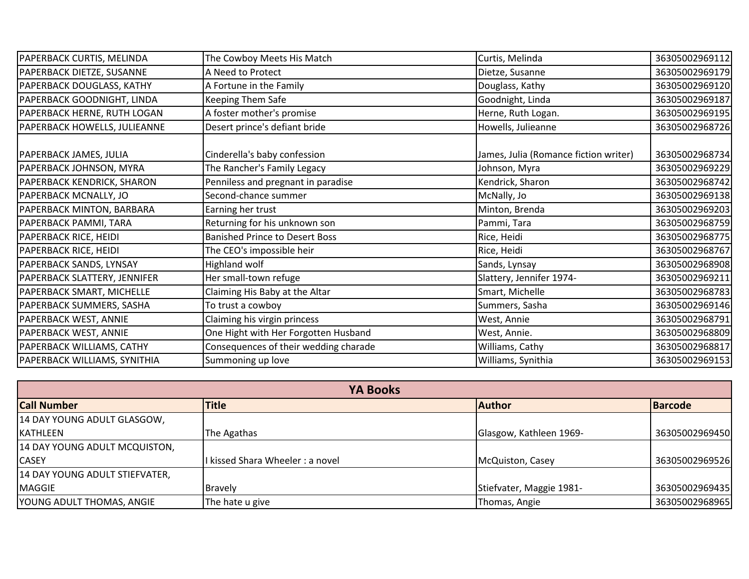| PAPERBACK CURTIS, MELINDA    | The Cowboy Meets His Match            | Curtis, Melinda                       | 36305002969112 |
|------------------------------|---------------------------------------|---------------------------------------|----------------|
| PAPERBACK DIETZE, SUSANNE    | A Need to Protect                     | Dietze, Susanne                       | 36305002969179 |
| PAPERBACK DOUGLASS, KATHY    | A Fortune in the Family               | Douglass, Kathy                       | 36305002969120 |
| PAPERBACK GOODNIGHT, LINDA   | <b>Keeping Them Safe</b>              | Goodnight, Linda                      | 36305002969187 |
| PAPERBACK HERNE, RUTH LOGAN  | A foster mother's promise             | Herne, Ruth Logan.                    | 36305002969195 |
| PAPERBACK HOWELLS, JULIEANNE | Desert prince's defiant bride         | Howells, Julieanne                    | 36305002968726 |
| PAPERBACK JAMES, JULIA       | Cinderella's baby confession          | James, Julia (Romance fiction writer) | 36305002968734 |
| PAPERBACK JOHNSON, MYRA      | The Rancher's Family Legacy           | Johnson, Myra                         | 36305002969229 |
| PAPERBACK KENDRICK, SHARON   | Penniless and pregnant in paradise    | Kendrick, Sharon                      | 36305002968742 |
| PAPERBACK MCNALLY, JO        | Second-chance summer                  | McNally, Jo                           | 36305002969138 |
| PAPERBACK MINTON, BARBARA    | Earning her trust                     | Minton, Brenda                        | 36305002969203 |
| PAPERBACK PAMMI, TARA        | Returning for his unknown son         | Pammi, Tara                           | 36305002968759 |
| <b>PAPERBACK RICE, HEIDI</b> | <b>Banished Prince to Desert Boss</b> | Rice, Heidi                           | 36305002968775 |
| PAPERBACK RICE, HEIDI        | The CEO's impossible heir             | Rice, Heidi                           | 36305002968767 |
| PAPERBACK SANDS, LYNSAY      | Highland wolf                         | Sands, Lynsay                         | 36305002968908 |
| PAPERBACK SLATTERY, JENNIFER | Her small-town refuge                 | Slattery, Jennifer 1974-              | 36305002969211 |
| PAPERBACK SMART, MICHELLE    | Claiming His Baby at the Altar        | Smart, Michelle                       | 36305002968783 |
| PAPERBACK SUMMERS, SASHA     | To trust a cowboy                     | Summers, Sasha                        | 36305002969146 |
| PAPERBACK WEST, ANNIE        | Claiming his virgin princess          | West, Annie                           | 36305002968791 |
| PAPERBACK WEST, ANNIE        | One Hight with Her Forgotten Husband  | West, Annie.                          | 36305002968809 |
| PAPERBACK WILLIAMS, CATHY    | Consequences of their wedding charade | Williams, Cathy                       | 36305002968817 |
| PAPERBACK WILLIAMS, SYNITHIA | Summoning up love                     | Williams, Synithia                    | 36305002969153 |

| <b>YA Books</b>                |                               |                          |                |
|--------------------------------|-------------------------------|--------------------------|----------------|
| <b>Call Number</b>             | <b>Title</b>                  | <b>Author</b>            | <b>Barcode</b> |
| 14 DAY YOUNG ADULT GLASGOW,    |                               |                          |                |
| <b>KATHLEEN</b>                | The Agathas                   | Glasgow, Kathleen 1969-  | 36305002969450 |
| 14 DAY YOUNG ADULT MCQUISTON,  |                               |                          |                |
| <b>CASEY</b>                   | kissed Shara Wheeler: a novel | McQuiston, Casey         | 36305002969526 |
| 14 DAY YOUNG ADULT STIEFVATER, |                               |                          |                |
| <b>MAGGIE</b>                  | <b>Bravely</b>                | Stiefvater, Maggie 1981- | 36305002969435 |
| YOUNG ADULT THOMAS, ANGIE      | The hate u give               | Thomas, Angie            | 36305002968965 |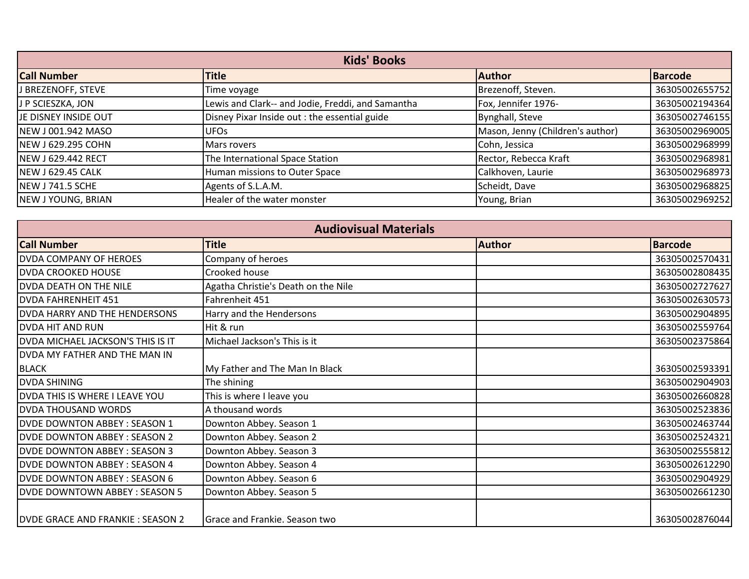| <b>Kids' Books</b>        |                                                   |                                  |                |
|---------------------------|---------------------------------------------------|----------------------------------|----------------|
| <b>Call Number</b>        | <b>Title</b>                                      | <b>Author</b>                    | <b>Barcode</b> |
| J BREZENOFF, STEVE        | Time voyage                                       | Brezenoff, Steven.               | 36305002655752 |
| J P SCIESZKA, JON         | Lewis and Clark-- and Jodie, Freddi, and Samantha | Fox, Jennifer 1976-              | 36305002194364 |
| JE DISNEY INSIDE OUT      | Disney Pixar Inside out: the essential guide      | Bynghall, Steve                  | 36305002746155 |
| NEW J001.942 MASO         | UFO <sub>S</sub>                                  | Mason, Jenny (Children's author) | 36305002969005 |
| <b>NEW J 629.295 COHN</b> | <b>Mars rovers</b>                                | Cohn, Jessica                    | 36305002968999 |
| <b>NEW J 629.442 RECT</b> | The International Space Station                   | Rector, Rebecca Kraft            | 36305002968981 |
| <b>NEW J 629.45 CALK</b>  | Human missions to Outer Space                     | Calkhoven, Laurie                | 36305002968973 |
| NEW J741.5 SCHE           | Agents of S.L.A.M.                                | Scheidt, Dave                    | 36305002968825 |
| NEW J YOUNG, BRIAN        | Healer of the water monster                       | Young, Brian                     | 36305002969252 |

| <b>Audiovisual Materials</b>            |                                     |               |                |
|-----------------------------------------|-------------------------------------|---------------|----------------|
| <b>Call Number</b>                      | <b>Title</b>                        | <b>Author</b> | <b>Barcode</b> |
| <b>DVDA COMPANY OF HEROES</b>           | Company of heroes                   |               | 36305002570431 |
| <b>DVDA CROOKED HOUSE</b>               | Crooked house                       |               | 36305002808435 |
| DVDA DEATH ON THE NILE                  | Agatha Christie's Death on the Nile |               | 36305002727627 |
| <b>DVDA FAHRENHEIT 451</b>              | Fahrenheit 451                      |               | 36305002630573 |
| DVDA HARRY AND THE HENDERSONS           | Harry and the Hendersons            |               | 36305002904895 |
| <b>DVDA HIT AND RUN</b>                 | Hit & run                           |               | 36305002559764 |
| DVDA MICHAEL JACKSON'S THIS IS IT       | Michael Jackson's This is it        |               | 36305002375864 |
| DVDA MY FATHER AND THE MAN IN           |                                     |               |                |
| <b>BLACK</b>                            | My Father and The Man In Black      |               | 36305002593391 |
| <b>DVDA SHINING</b>                     | The shining                         |               | 36305002904903 |
| DVDA THIS IS WHERE I LEAVE YOU          | This is where I leave you           |               | 36305002660828 |
| <b>DVDA THOUSAND WORDS</b>              | A thousand words                    |               | 36305002523836 |
| <b>DVDE DOWNTON ABBEY: SEASON 1</b>     | Downton Abbey. Season 1             |               | 36305002463744 |
| <b>DVDE DOWNTON ABBEY: SEASON 2</b>     | Downton Abbey. Season 2             |               | 36305002524321 |
| <b>DVDE DOWNTON ABBEY: SEASON 3</b>     | Downton Abbey. Season 3             |               | 36305002555812 |
| <b>DVDE DOWNTON ABBEY: SEASON 4</b>     | Downton Abbey. Season 4             |               | 36305002612290 |
| <b>DVDE DOWNTON ABBEY: SEASON 6</b>     | Downton Abbey. Season 6             |               | 36305002904929 |
| <b>DVDE DOWNTOWN ABBEY: SEASON 5</b>    | Downton Abbey. Season 5             |               | 36305002661230 |
| <b>DVDE GRACE AND FRANKIE: SEASON 2</b> | Grace and Frankie. Season two       |               | 36305002876044 |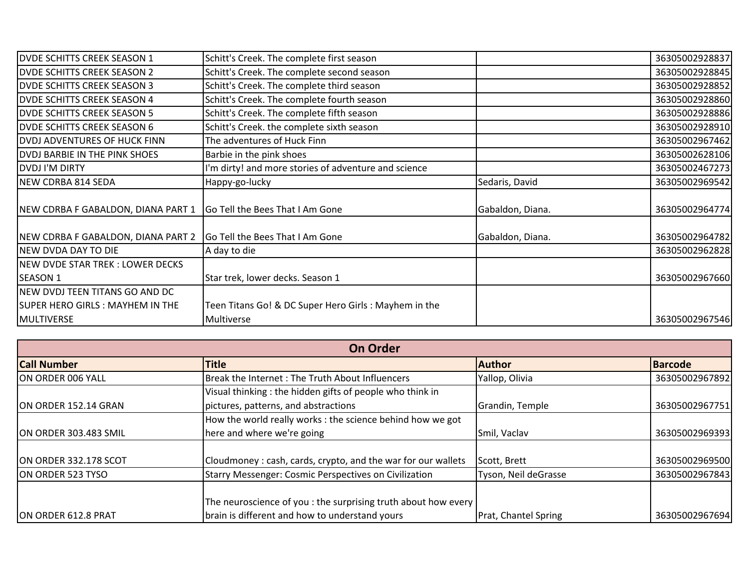| <b>DVDE SCHITTS CREEK SEASON 1</b>     | Schitt's Creek. The complete first season            |                  | 36305002928837 |
|----------------------------------------|------------------------------------------------------|------------------|----------------|
| <b>DVDE SCHITTS CREEK SEASON 2</b>     | Schitt's Creek. The complete second season           |                  | 36305002928845 |
| <b>DVDE SCHITTS CREEK SEASON 3</b>     | Schitt's Creek. The complete third season            |                  | 36305002928852 |
| <b>DVDE SCHITTS CREEK SEASON 4</b>     | Schitt's Creek. The complete fourth season           |                  | 36305002928860 |
| <b>DVDE SCHITTS CREEK SEASON 5</b>     | Schitt's Creek. The complete fifth season            |                  | 36305002928886 |
| <b>DVDE SCHITTS CREEK SEASON 6</b>     | Schitt's Creek. the complete sixth season            |                  | 36305002928910 |
| <b>DVDJ ADVENTURES OF HUCK FINN</b>    | The adventures of Huck Finn                          |                  | 36305002967462 |
| <b>DVDJ BARBIE IN THE PINK SHOES</b>   | Barbie in the pink shoes                             |                  | 36305002628106 |
| <b>DVDJ I'M DIRTY</b>                  | I'm dirty! and more stories of adventure and science |                  | 36305002467273 |
| NEW CDRBA 814 SEDA                     | Happy-go-lucky                                       | Sedaris, David   | 36305002969542 |
|                                        |                                                      |                  |                |
| NEW CDRBA F GABALDON, DIANA PART 1     | Go Tell the Bees That I Am Gone                      | Gabaldon, Diana. | 36305002964774 |
|                                        |                                                      |                  |                |
| NEW CDRBA F GABALDON, DIANA PART 2     | Go Tell the Bees That I Am Gone                      | Gabaldon, Diana. | 36305002964782 |
| NEW DVDA DAY TO DIE                    | A day to die                                         |                  | 36305002962828 |
| NEW DVDE STAR TREK : LOWER DECKS       |                                                      |                  |                |
| <b>SEASON 1</b>                        | Star trek, lower decks. Season 1                     |                  | 36305002967660 |
| NEW DVDJ TEEN TITANS GO AND DC         |                                                      |                  |                |
| <b>SUPER HERO GIRLS: MAYHEM IN THE</b> | Teen Titans Go! & DC Super Hero Girls: Mayhem in the |                  |                |
| MULTIVERSE                             | Multiverse                                           |                  | 36305002967546 |

| <b>On Order</b>       |                                                                                                                  |                      |                |
|-----------------------|------------------------------------------------------------------------------------------------------------------|----------------------|----------------|
| <b>Call Number</b>    | <b>Title</b>                                                                                                     | <b>Author</b>        | <b>Barcode</b> |
| ON ORDER 006 YALL     | Break the Internet: The Truth About Influencers                                                                  | Yallop, Olivia       | 36305002967892 |
|                       | Visual thinking : the hidden gifts of people who think in                                                        |                      |                |
| ON ORDER 152.14 GRAN  | pictures, patterns, and abstractions                                                                             | Grandin, Temple      | 36305002967751 |
|                       | How the world really works : the science behind how we got                                                       |                      |                |
| ON ORDER 303.483 SMIL | here and where we're going                                                                                       | Smil, Vaclav         | 36305002969393 |
| ON ORDER 332.178 SCOT | Cloudmoney: cash, cards, crypto, and the war for our wallets                                                     | Scott, Brett         | 36305002969500 |
| ON ORDER 523 TYSO     | Starry Messenger: Cosmic Perspectives on Civilization                                                            | Tyson, Neil deGrasse | 36305002967843 |
| ON ORDER 612.8 PRAT   | The neuroscience of you : the surprising truth about how every<br>brain is different and how to understand yours | Prat, Chantel Spring | 36305002967694 |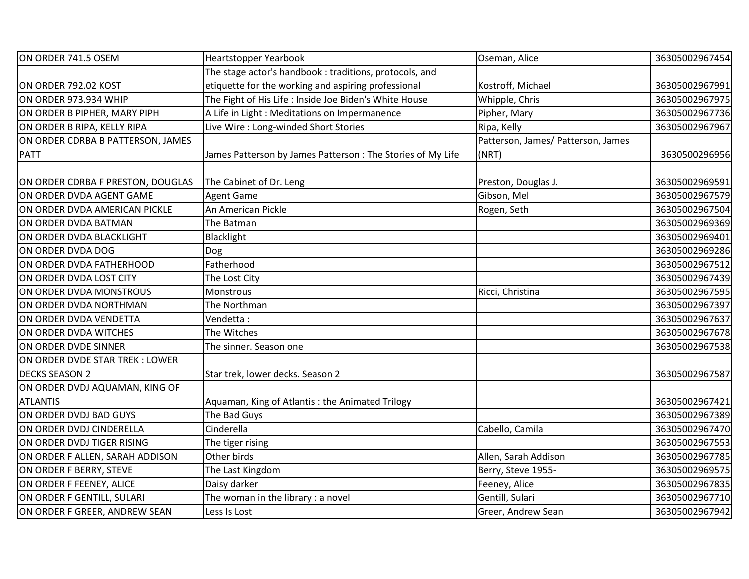| ON ORDER 741.5 OSEM               | <b>Heartstopper Yearbook</b>                               | Oseman, Alice                      | 36305002967454 |
|-----------------------------------|------------------------------------------------------------|------------------------------------|----------------|
|                                   | The stage actor's handbook : traditions, protocols, and    |                                    |                |
| ON ORDER 792.02 KOST              | etiquette for the working and aspiring professional        | Kostroff, Michael                  | 36305002967991 |
| ON ORDER 973.934 WHIP             | The Fight of His Life : Inside Joe Biden's White House     | Whipple, Chris                     | 36305002967975 |
| ON ORDER B PIPHER, MARY PIPH      | A Life in Light : Meditations on Impermanence              | Pipher, Mary                       | 36305002967736 |
| ON ORDER B RIPA, KELLY RIPA       | Live Wire : Long-winded Short Stories                      | Ripa, Kelly                        | 36305002967967 |
| ON ORDER CDRBA B PATTERSON, JAMES |                                                            | Patterson, James/ Patterson, James |                |
| <b>PATT</b>                       | James Patterson by James Patterson: The Stories of My Life | (NRT)                              | 3630500296956  |
| ON ORDER CDRBA F PRESTON, DOUGLAS | The Cabinet of Dr. Leng                                    | Preston, Douglas J.                | 36305002969591 |
| ON ORDER DVDA AGENT GAME          | <b>Agent Game</b>                                          | Gibson, Mel                        | 36305002967579 |
| ON ORDER DVDA AMERICAN PICKLE     | An American Pickle                                         | Rogen, Seth                        | 36305002967504 |
| ON ORDER DVDA BATMAN              | The Batman                                                 |                                    | 36305002969369 |
| ON ORDER DVDA BLACKLIGHT          | Blacklight                                                 |                                    | 36305002969401 |
| ON ORDER DVDA DOG                 | Dog                                                        |                                    | 36305002969286 |
| ON ORDER DVDA FATHERHOOD          | Fatherhood                                                 |                                    | 36305002967512 |
| ON ORDER DVDA LOST CITY           | The Lost City                                              |                                    | 36305002967439 |
| ON ORDER DVDA MONSTROUS           | Monstrous                                                  | Ricci, Christina                   | 36305002967595 |
| ON ORDER DVDA NORTHMAN            | The Northman                                               |                                    | 36305002967397 |
| ON ORDER DVDA VENDETTA            | Vendetta:                                                  |                                    | 36305002967637 |
| ON ORDER DVDA WITCHES             | The Witches                                                |                                    | 36305002967678 |
| ON ORDER DVDE SINNER              | The sinner. Season one                                     |                                    | 36305002967538 |
| ON ORDER DVDE STAR TREK: LOWER    |                                                            |                                    |                |
| <b>DECKS SEASON 2</b>             | Star trek, lower decks. Season 2                           |                                    | 36305002967587 |
| ON ORDER DVDJ AQUAMAN, KING OF    |                                                            |                                    |                |
| <b>ATLANTIS</b>                   | Aquaman, King of Atlantis: the Animated Trilogy            |                                    | 36305002967421 |
| ON ORDER DVDJ BAD GUYS            | The Bad Guys                                               |                                    | 36305002967389 |
| ON ORDER DVDJ CINDERELLA          | Cinderella                                                 | Cabello, Camila                    | 36305002967470 |
| ON ORDER DVDJ TIGER RISING        | The tiger rising                                           |                                    | 36305002967553 |
| ON ORDER F ALLEN, SARAH ADDISON   | Other birds                                                | Allen, Sarah Addison               | 36305002967785 |
| ON ORDER F BERRY, STEVE           | The Last Kingdom                                           | Berry, Steve 1955-                 | 36305002969575 |
| ON ORDER F FEENEY, ALICE          | Daisy darker                                               | Feeney, Alice                      | 36305002967835 |
| ON ORDER F GENTILL, SULARI        | The woman in the library : a novel                         | Gentill, Sulari                    | 36305002967710 |
| ON ORDER F GREER, ANDREW SEAN     | Less Is Lost                                               | Greer, Andrew Sean                 | 36305002967942 |